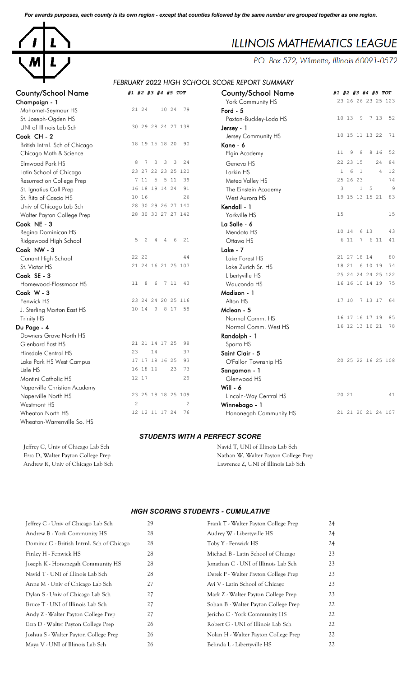*For awards purposes, each county is its own region - except that counties followed by the same number are grouped together as one region.*



# **ILLINOIS MATHEMATICS LEAGUE**

P.O. Box 572, Wilmette, Illinois 60091-0572

# *FEBRUARY 2022 HIGH SCHOOL SCORE REPORT SUMMARY*

| County/School Name             | #1 #2 #3 #4 #5 TOT                        | County/School Name     | #1 #2 #3 #4 #5 TOT                               |
|--------------------------------|-------------------------------------------|------------------------|--------------------------------------------------|
| Champaign - 1                  |                                           | York Community HS      | 23 26 26 23 25 123                               |
| Mahomet-Seymour HS             | 21 24<br>10 24<br>79                      | Ford $-5$              |                                                  |
| St. Joseph-Ogden HS            |                                           | Paxton-Buckley-Loda HS | 9<br>7 13 52<br>10 13                            |
| UNI of Illinois Lab Sch        | 30 29 28 24 27 138                        | Jersey - 1             |                                                  |
| Cook CH - 2                    |                                           | Jersey Community HS    | 10 15 11 13 22<br>71                             |
| British Intrnl. Sch of Chicago | 18 19 15 18 20<br>90                      | Kane - 6               |                                                  |
| Chicago Math & Science         |                                           | Elgin Academy          | 8<br>8 1 6<br>52<br>11<br>9                      |
| Elmwood Park HS                | 8<br>$7\phantom{.0}$<br>3<br>3<br>3<br>24 | Geneva HS              | 22 23 15<br>24<br>84                             |
| Latin School of Chicago        | 23 27 22 23 25 120                        | Larkin HS              | 1<br>6<br>$\overline{1}$<br>$\overline{4}$<br>12 |
| Resurrection College Prep      | 7 11<br>$5 \t 5 \t 11$<br>39              | Metea Valley HS        | 25 26 23<br>74                                   |
| St. Ignatius Coll Prep         | 16 18 19 14 24<br>91                      | The Einstein Academy   | 3<br>1 <sub>5</sub><br>9                         |
| St. Rita of Cascia HS          | 10 16<br>2.6                              | West Aurora HS         | 19 15 13 15 21<br>83                             |
| Univ of Chicago Lab Sch        | 28 30 29 26 27 140                        | Kendall - 1            |                                                  |
| Walter Payton College Prep     | 28 30 30 27 27 142                        | Yorkville HS           | 15<br>15                                         |
| Cook NE - 3                    |                                           | La Salle - 6           |                                                  |
| Regina Dominican HS            |                                           | Mendota HS             | 6 13<br>43<br>10 14                              |
| Ridgewood High School          | 5<br>2<br>$\overline{4}$<br>4<br>6<br>21  | Ottawa HS              | 7 6 11<br>41<br>6 11                             |
| Cook NW - 3                    |                                           | Lake - $7$             |                                                  |
| Conant High School             | 22 22<br>44                               | Lake Forest HS         | 21 27 18 14<br>80                                |
| St. Viator HS                  | 21 24 16 21 25 107                        | Lake Zurich Sr. HS     | 18 21<br>6 10 19<br>74                           |
| Cook SE - 3                    |                                           | Libertyville HS        | 25 24 24 24 25 122                               |
| Homewood-Flossmoor HS          | 11<br>8<br>6<br>7 11<br>43                | Wauconda HS            | 16 16 10 14 19<br>75                             |
| Cook W-3                       |                                           | Madison - 1            |                                                  |
| Fenwick HS                     | 23 24 24 20 25 116                        | Alton HS               | 17 10 7 13 17<br>- 64                            |
| J. Sterling Morton East HS     | 10 14 9 8 17 58                           | Mclean - 5             |                                                  |
| Trinity HS                     |                                           | Normal Comm. HS        | 85<br>16 17 16 17 19                             |
| Du Page - 4                    |                                           | Normal Comm. West HS   | 16 12 13 16 21 78                                |
| Downers Grove North HS         |                                           | Randolph - 1           |                                                  |
| Glenbard East HS               | 21 21 14 17 25<br>98                      | Sparta HS              |                                                  |
| Hinsdale Central HS            | 23<br>14<br>37                            | Saint Clair - 5        |                                                  |
| Lake Park HS West Campus       | 17 17 18 16 25<br>93                      | O'Fallon Township HS   | 20 25 22 16 25 108                               |
| Lisle HS                       | 73<br>16 18 16<br>23                      | Sangamon - 1           |                                                  |
| Montini Catholic HS            | 12 17<br>29                               | Glenwood HS            |                                                  |
| Naperville Christian Academy   |                                           | Will - $6$             |                                                  |
| Naperville North HS            | 23 25 18 18 25 109                        | Lincoln-Way Central HS | 20 21<br>41                                      |
| Westmont HS                    | 2<br>$\mathcal{L}$                        | Winnebago - 1          |                                                  |
| Wheaton North HS               | 12 12 11 17 24<br>76                      | Hononegah Community HS | 21 21 20 21 24 107                               |
| Wheaton-Warrenville So. HS     |                                           |                        |                                                  |

| County/School Name             | #1 #2 #3 #4 #5 TOT                                                              | <b>County/School Name</b> | #1 #2 #3 #4 #5 TOT                                          |
|--------------------------------|---------------------------------------------------------------------------------|---------------------------|-------------------------------------------------------------|
| Champaign - 1                  |                                                                                 | York Community HS         | 23 26 26 23 25 123                                          |
| Mahomet-Seymour HS             | 21 24<br>10 24<br>79                                                            | Ford - 5                  |                                                             |
| St. Joseph-Ogden HS            |                                                                                 | Paxton-Buckley-Loda HS    | 10 13 9 7 13 52                                             |
| UNI of Illinois Lab Sch        | 30 29 28 24 27 138                                                              | Jersey - 1                |                                                             |
| Cook CH-2                      |                                                                                 | Jersey Community HS       | 10 15 11 13 22<br>71                                        |
| British Intrnl. Sch of Chicago | 18 19 15 18 20<br>90                                                            | Kane - 6                  |                                                             |
| Chicago Math & Science         |                                                                                 | Elgin Academy             | 11<br>9<br>8<br>8 16<br>52                                  |
| Elmwood Park HS                | $\overline{\mathbf{3}}$<br>$\overline{\mathbf{3}}$<br>24<br>8<br>7 <sup>3</sup> | Geneva HS                 | 22 23 15<br>24<br>84                                        |
| Latin School of Chicago        | 23 27 22 23 25 120                                                              | Larkin HS                 | 12<br>6<br>$\overline{1}$<br>$\overline{4}$<br>$\mathbf{1}$ |
| Resurrection College Prep      | 7 11 5 5 11<br>39                                                               | Metea Valley HS           | 74<br>25 26 23                                              |
| St. Ignatius Coll Prep         | 16 18 19 14 24<br>91                                                            | The Einstein Academy      | $\circ$<br>3<br>$\mathbf{1}$<br>5                           |
| St. Rita of Cascia HS          | 26<br>10 16                                                                     | West Aurora HS            | 19 15 13 15 21<br>83                                        |
| Univ of Chicago Lab Sch        | 28 30 29 26 27 140                                                              | Kendall - 1               |                                                             |
| Walter Payton College Prep     | 28 30 30 27 27 142                                                              | Yorkville HS              | 15<br>15                                                    |
| Cook NE - 3                    |                                                                                 | La Salle - 6              |                                                             |
| Regina Dominican HS            |                                                                                 | Mendota HS                | 10 14<br>6 13<br>43                                         |
| Ridgewood High School          | 5<br>2<br>6<br>21<br>4<br>4                                                     | Ottawa HS                 | 7 6 11<br>41<br>6 11                                        |
| Cook NW - 3                    |                                                                                 | Lake - 7                  |                                                             |
| Conant High School             | 22 22<br>44                                                                     | Lake Forest HS            | 21 27 18 14<br>80                                           |
| St. Viator HS                  | 21 24 16 21 25 107                                                              | Lake Zurich Sr. HS        | 74<br>18 21<br>6 10 19                                      |
| Cook SE - 3                    |                                                                                 | Libertyville HS           | 25 24 24 24 25 122                                          |
| Homewood-Flossmoor HS          | 8<br>7 11<br>43<br>11<br>6                                                      | Wauconda HS               | 16 16 10 14 19<br>75                                        |
| Cook W-3                       |                                                                                 | Madison - 1               |                                                             |
| Fenwick HS                     | 23 24 24 20 25 116                                                              | Alton HS                  | 7 13 17<br>17 10<br>64                                      |
| J. Sterling Morton East HS     | 10 14 9 8 17<br>58                                                              | Mclean - 5                |                                                             |
| Trinity HS                     |                                                                                 | Normal Comm. HS           | 16 17 16 17 19<br>85                                        |
| Du Page - 4                    |                                                                                 | Normal Comm. West HS      | 16 12 13 16 21<br>78                                        |
| Downers Grove North HS         |                                                                                 | Randolph - 1              |                                                             |
| Glenbard East HS               | 21 21 14 17 25<br>98                                                            | Sparta HS                 |                                                             |
| Hinsdale Central HS            | 23<br>14<br>37                                                                  | Saint Clair - 5           |                                                             |
| Lake Park HS West Campus       | 17 17 18 16 25<br>93                                                            | O'Fallon Township HS      | 20 25 22 16 25 108                                          |
| Lisle HS                       | 16 18 16<br>23<br>73                                                            | Sangamon - 1              |                                                             |
| Montini Catholic HS            | 12 17<br>29                                                                     | Glenwood HS               |                                                             |
| Naperville Christian Academy   |                                                                                 | Will - $6$                |                                                             |
| Naperville North HS            | 23 25 18 18 25 109                                                              | Lincoln-Way Central HS    | 20 21<br>41                                                 |
| Westmont HS                    | $\overline{c}$<br>$\overline{c}$                                                | Winnebago - 1             |                                                             |
| Wheaton North HS               | 76<br>12 12 11 17 24                                                            | Hononegah Community HS    | 21 21 20 21 24 107                                          |
|                                |                                                                                 |                           |                                                             |

#### *STUDENTS WITH A PERFECT SCORE*

Jeffrey C, Univ of Chicago Lab Sch Navid T, UNI of Illinois Lab Sch Ezra D, Walter Payton College Prep Nathan W, Walter Payton College Prep Andrew R, Univ of Chicago Lab Sch Lawrence Z, UNI of Illinois Lab Sch

### *HIGH SCORING STUDENTS - CUMULATIVE*

|                                      | 24                                   |
|--------------------------------------|--------------------------------------|
| Audrey W - Libertyville HS           | 24                                   |
| Toby Y - Fenwick HS                  | 24                                   |
| Michael B - Latin School of Chicago  | 23                                   |
| Jonathan C - UNI of Illinois Lab Sch | 23                                   |
| Derek P - Walter Payton College Prep | 23                                   |
| Avi V - Latin School of Chicago      | 23                                   |
| Mark Z - Walter Payton College Prep  | 23                                   |
| Sohan B - Walter Payton College Prep | 22                                   |
| Jericho C - York Community HS        | 22                                   |
| Robert G - UNI of Illinois Lab Sch   | 22                                   |
| Nolan H - Walter Payton College Prep | 22                                   |
| Belinda L - Libertyville HS          | 22                                   |
|                                      | Frank T - Walter Payton College Prep |